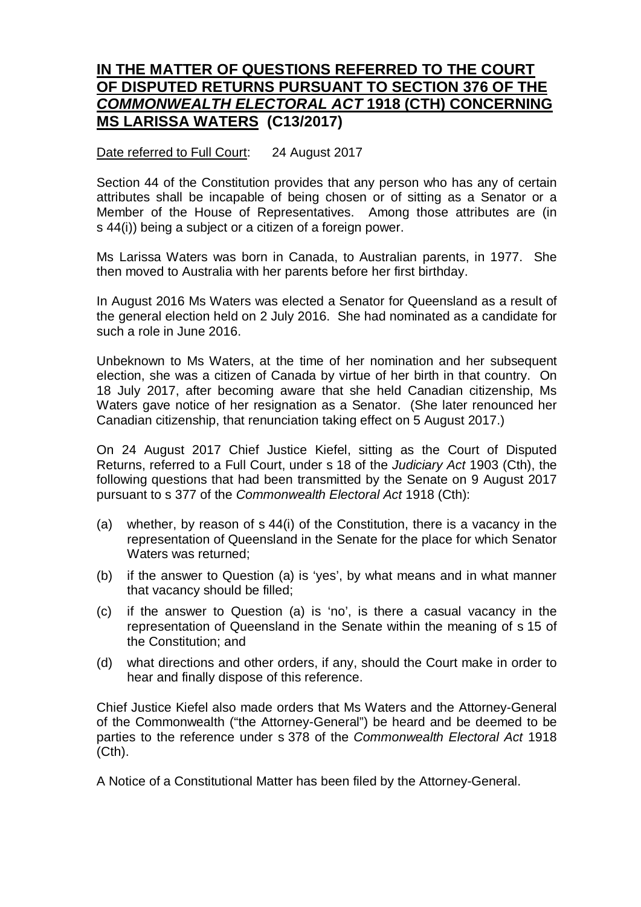## **IN THE MATTER OF QUESTIONS REFERRED TO THE COURT OF DISPUTED RETURNS PURSUANT TO SECTION 376 OF THE**  *COMMONWEALTH ELECTORAL ACT* **1918 (CTH) CONCERNING MS LARISSA WATERS (C13/2017)**

## Date referred to Full Court: 24 August 2017

Section 44 of the Constitution provides that any person who has any of certain attributes shall be incapable of being chosen or of sitting as a Senator or a Member of the House of Representatives. Among those attributes are (in s 44(i)) being a subject or a citizen of a foreign power.

Ms Larissa Waters was born in Canada, to Australian parents, in 1977. She then moved to Australia with her parents before her first birthday.

In August 2016 Ms Waters was elected a Senator for Queensland as a result of the general election held on 2 July 2016. She had nominated as a candidate for such a role in June 2016.

Unbeknown to Ms Waters, at the time of her nomination and her subsequent election, she was a citizen of Canada by virtue of her birth in that country. On 18 July 2017, after becoming aware that she held Canadian citizenship, Ms Waters gave notice of her resignation as a Senator. (She later renounced her Canadian citizenship, that renunciation taking effect on 5 August 2017.)

On 24 August 2017 Chief Justice Kiefel, sitting as the Court of Disputed Returns, referred to a Full Court, under s 18 of the *Judiciary Act* 1903 (Cth), the following questions that had been transmitted by the Senate on 9 August 2017 pursuant to s 377 of the *Commonwealth Electoral Act* 1918 (Cth):

- (a) whether, by reason of s 44(i) of the Constitution, there is a vacancy in the representation of Queensland in the Senate for the place for which Senator Waters was returned;
- (b) if the answer to Question (a) is 'yes', by what means and in what manner that vacancy should be filled;
- (c) if the answer to Question (a) is 'no', is there a casual vacancy in the representation of Queensland in the Senate within the meaning of s 15 of the Constitution; and
- (d) what directions and other orders, if any, should the Court make in order to hear and finally dispose of this reference.

Chief Justice Kiefel also made orders that Ms Waters and the Attorney-General of the Commonwealth ("the Attorney-General") be heard and be deemed to be parties to the reference under s 378 of the *Commonwealth Electoral Act* 1918 (Cth).

A Notice of a Constitutional Matter has been filed by the Attorney-General.